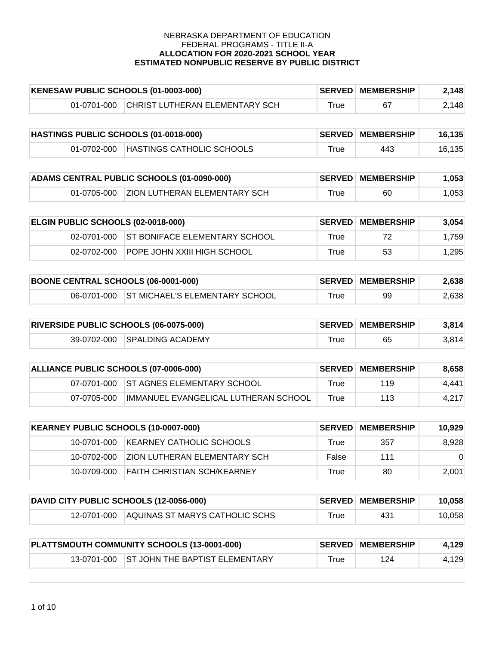| KENESAW PUBLIC SCHOOLS (01-0003-000) |             |                                | <b>SERVED MEMBERSHIP</b> | 2,148 |       |
|--------------------------------------|-------------|--------------------------------|--------------------------|-------|-------|
|                                      | 01-0701-000 | CHRIST LUTHERAN ELEMENTARY SCH | ™rue                     |       | 2,148 |

| HASTINGS PUBLIC SCHOOLS (01-0018-000) |             |                           | <b>SERVED MEMBERSHIP</b> | 16.135 |        |
|---------------------------------------|-------------|---------------------------|--------------------------|--------|--------|
|                                       | 01-0702-000 | HASTINGS CATHOLIC SCHOOLS | $^{\mathsf{r}}$ rue      | 443    | 16,135 |

| ADAMS CENTRAL PUBLIC SCHOOLS (01-0090-000) |  |                                          | <b>SERVED MEMBERSHIP</b> | 1.053 |       |
|--------------------------------------------|--|------------------------------------------|--------------------------|-------|-------|
|                                            |  | 01-0705-000 ZION LUTHERAN ELEMENTARY SCH | $T$ rue                  | 60    | 0.053 |

| <b>ELGIN PUBLIC SCHOOLS (02-0018-000)</b> |               |                                           | <b>SERVED MEMBERSHIP</b> | 3.054 |       |
|-------------------------------------------|---------------|-------------------------------------------|--------------------------|-------|-------|
|                                           |               | 02-0701-000 ST BONIFACE ELEMENTARY SCHOOL | True                     | 72.   | 1.759 |
|                                           | $02-0702-000$ | <b>POPE JOHN XXIII HIGH SCHOOL</b>        | True                     | 53    | 1.295 |

| <b>BOONE CENTRAL SCHOOLS (06-0001-000)</b> |  |                                            | <b>SERVED MEMBERSHIP</b> | 2,638 |       |
|--------------------------------------------|--|--------------------------------------------|--------------------------|-------|-------|
|                                            |  | 06-0701-000 ST MICHAEL'S ELEMENTARY SCHOOL | ™rue                     | 99    | 2,638 |

| <b>RIVERSIDE PUBLIC SCHOOLS (06-0075-000)</b> |  |                              | <b>SERVED MEMBERSHIP</b> | 3.814 |       |
|-----------------------------------------------|--|------------------------------|--------------------------|-------|-------|
|                                               |  | 39-0702-000 SPALDING ACADEMY | $\tau$ rue               |       | 3.814 |

| ALLIANCE PUBLIC SCHOOLS (07-0006-000) |             | <b>SERVED</b>                         | <b>MEMBERSHIP</b> | 8.658 |       |
|---------------------------------------|-------------|---------------------------------------|-------------------|-------|-------|
|                                       | 07-0701-000 | <b>IST AGNES ELEMENTARY SCHOOL</b>    | True              | 119   | 4.441 |
|                                       | 07-0705-000 | IIMMANUEL EVANGELICAL LUTHERAN SCHOOL | True              | 113   | 4.217 |

| KEARNEY PUBLIC SCHOOLS (10-0007-000) |               | <b>SERVED</b>                       | <b>MEMBERSHIP</b> | 10.929 |          |
|--------------------------------------|---------------|-------------------------------------|-------------------|--------|----------|
|                                      | 10-0701-000   | KEARNEY CATHOLIC SCHOOLS            | True              | 357    | 8.928    |
|                                      | 10-0702-000   | <b>ZION LUTHERAN ELEMENTARY SCH</b> | False             | 111    | $\Omega$ |
|                                      | 10-0709-000 ' | <b>FAITH CHRISTIAN SCH/KEARNEY</b>  | True              | 80     | 2.001    |

| DAVID CITY PUBLIC SCHOOLS (12-0056-000) |  |                                            | <b>SERVED MEMBERSHIP</b> | 10,058 |        |
|-----------------------------------------|--|--------------------------------------------|--------------------------|--------|--------|
|                                         |  | 12-0701-000 AQUINAS ST MARYS CATHOLIC SCHS | $^{\mathsf{r}}$ rue      | -431   | 10.058 |

| PLATTSMOUTH COMMUNITY SCHOOLS (13-0001-000) |  |                                            | <b>SERVED MEMBERSHIP</b> | 4,129 |       |
|---------------------------------------------|--|--------------------------------------------|--------------------------|-------|-------|
|                                             |  | 13-0701-000 ST JOHN THE BAPTIST ELEMENTARY | $\mathsf{^T\!rue}$       | 124   | 4,129 |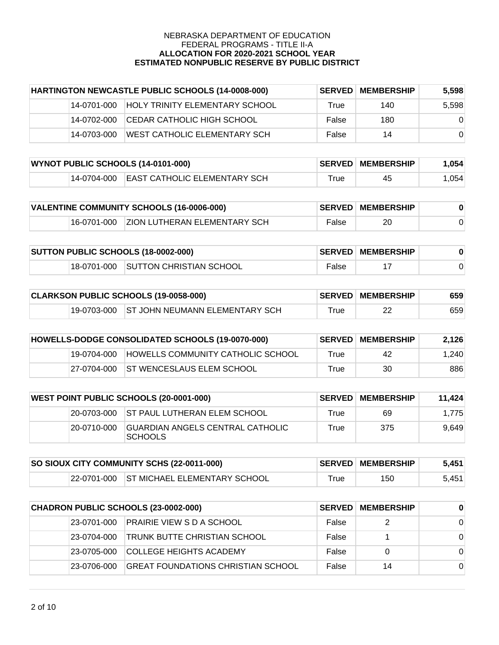| HARTINGTON NEWCASTLE PUBLIC SCHOOLS (14-0008-000) |             | <b>SERVED</b>                         | <b>MEMBERSHIP</b> | 5.598 |          |
|---------------------------------------------------|-------------|---------------------------------------|-------------------|-------|----------|
|                                                   | 14-0701-000 | <b>HOLY TRINITY ELEMENTARY SCHOOL</b> | True              | 140   | 5,598    |
|                                                   | 14-0702-000 | ICEDAR CATHOLIC HIGH SCHOOL           | False             | 180   | $\Omega$ |
|                                                   | 14-0703-000 | WEST CATHOLIC ELEMENTARY SCH          | False             | 14    | $\Omega$ |

| WYNOT PUBLIC SCHOOLS (14-0101-000) |  |                                          | <b>SERVED MEMBERSHIP</b>     | 1.054 |                 |
|------------------------------------|--|------------------------------------------|------------------------------|-------|-----------------|
|                                    |  | 14-0704-000 EAST CATHOLIC ELEMENTARY SCH | $\mathsf{^{\mathsf{T}}}$ rue | 45    | $^{\circ}$ .054 |

| VALENTINE COMMUNITY SCHOOLS (16-0006-000) |  |                                          | <b>SERVED MEMBERSHIP</b> |    |  |
|-------------------------------------------|--|------------------------------------------|--------------------------|----|--|
|                                           |  | 16-0701-000 ZION LUTHERAN ELEMENTARY SCH | False                    | 20 |  |

| <b>SUTTON PUBLIC SCHOOLS (18-0002-000)</b> |  |                                     | <b>SERVED MEMBERSHIP</b> |  |  |
|--------------------------------------------|--|-------------------------------------|--------------------------|--|--|
|                                            |  | 18-0701-000 SUTTON CHRISTIAN SCHOOL | False                    |  |  |

| CLARKSON PUBLIC SCHOOLS (19-0058-000) |  |                                            | <b>SERVED MEMBERSHIP</b> | 659 |     |
|---------------------------------------|--|--------------------------------------------|--------------------------|-----|-----|
|                                       |  | 19-0703-000 ST JOHN NEUMANN ELEMENTARY SCH | ™rue                     | ົດຕ | 659 |

| HOWELLS-DODGE CONSOLIDATED SCHOOLS (19-0070-000) |             |                                          | <b>SERVED MEMBERSHIP</b> | 2,126 |       |
|--------------------------------------------------|-------------|------------------------------------------|--------------------------|-------|-------|
|                                                  | 19-0704-000 | <b>HOWELLS COMMUNITY CATHOLIC SCHOOL</b> | True                     | 42    | 1.240 |
|                                                  | 27-0704-000 | <b>ST WENCESLAUS ELEM SCHOOL</b>         | True                     | 30    | 886   |

| <b>WEST POINT PUBLIC SCHOOLS (20-0001-000)</b> |             |                                                           | <b>∣SERVED∣MEMBERSHIP</b> | 11.424 |       |
|------------------------------------------------|-------------|-----------------------------------------------------------|---------------------------|--------|-------|
|                                                |             | 20-0703-000 IST PAUL LUTHERAN ELEM SCHOOL                 | True                      | 69     | 1.775 |
|                                                | 20-0710-000 | <b>GUARDIAN ANGELS CENTRAL CATHOLIC</b><br><b>SCHOOLS</b> | True                      | 375    | 9.649 |

| SO SIOUX CITY COMMUNITY SCHS (22-0011-000) |  |                                          | <b>SERVED MEMBERSHIP</b> | 5.451 |       |
|--------------------------------------------|--|------------------------------------------|--------------------------|-------|-------|
|                                            |  | 22-0701-000 ST MICHAEL ELEMENTARY SCHOOL | $\tau$ rue               | 150   | 5,451 |

| CHADRON PUBLIC SCHOOLS (23-0002-000) |              |                                     | <b>SERVED MEMBERSHIP</b> | $\bf{0}$ |          |
|--------------------------------------|--------------|-------------------------------------|--------------------------|----------|----------|
|                                      | 23-0701-000  | <b>PRAIRIE VIEW S D A SCHOOL</b>    | False                    | 2        | $\Omega$ |
|                                      | 23-0704-000  | <b>TRUNK BUTTE CHRISTIAN SCHOOL</b> | False                    |          | $\Omega$ |
|                                      | 23-0705-000  | <b>COLLEGE HEIGHTS ACADEMY</b>      | False                    |          | $\Omega$ |
|                                      | 123-0706-000 | GREAT FOUNDATIONS CHRISTIAN SCHOOL  | False                    | 14       | $\Omega$ |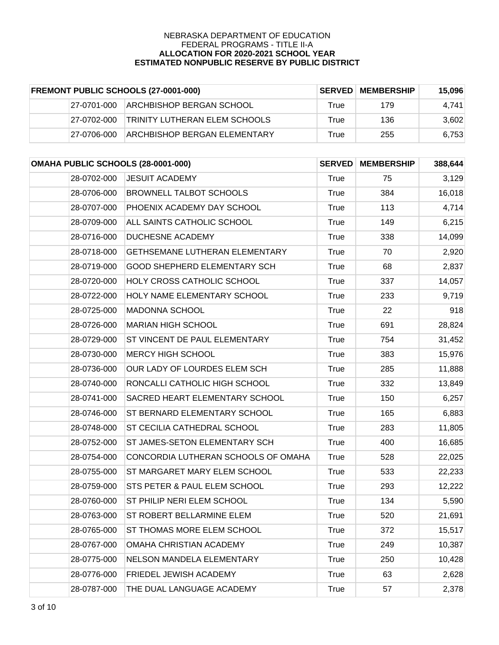| <b>FREMONT PUBLIC SCHOOLS (27-0001-000)</b> |             | <b>SERVED</b>                        | <b>MEMBERSHIP</b> | 15,096 |       |
|---------------------------------------------|-------------|--------------------------------------|-------------------|--------|-------|
|                                             | 27-0701-000 | ARCHBISHOP BERGAN SCHOOL             | True              | 179    | 4.741 |
|                                             | 27-0702-000 | <b>TRINITY LUTHERAN ELEM SCHOOLS</b> | True              | 136    | 3,602 |
|                                             | 27-0706-000 | <b>ARCHBISHOP BERGAN ELEMENTARY</b>  | True              | 255    | 6,753 |

| OMAHA PUBLIC SCHOOLS (28-0001-000) |                                         | <b>SERVED</b> | <b>MEMBERSHIP</b> | 388,644 |
|------------------------------------|-----------------------------------------|---------------|-------------------|---------|
| 28-0702-000                        | <b>JESUIT ACADEMY</b>                   | True          | 75                | 3,129   |
| 28-0706-000                        | <b>BROWNELL TALBOT SCHOOLS</b>          | <b>True</b>   | 384               | 16,018  |
| 28-0707-000                        | PHOENIX ACADEMY DAY SCHOOL              | <b>True</b>   | 113               | 4,714   |
| 28-0709-000                        | ALL SAINTS CATHOLIC SCHOOL              | <b>True</b>   | 149               | 6,215   |
| 28-0716-000                        | <b>DUCHESNE ACADEMY</b>                 | <b>True</b>   | 338               | 14,099  |
| 28-0718-000                        | GETHSEMANE LUTHERAN ELEMENTARY          | <b>True</b>   | 70                | 2,920   |
| 28-0719-000                        | <b>GOOD SHEPHERD ELEMENTARY SCH</b>     | <b>True</b>   | 68                | 2,837   |
| 28-0720-000                        | <b>HOLY CROSS CATHOLIC SCHOOL</b>       | <b>True</b>   | 337               | 14,057  |
| 28-0722-000                        | HOLY NAME ELEMENTARY SCHOOL             | <b>True</b>   | 233               | 9,719   |
| 28-0725-000                        | <b>MADONNA SCHOOL</b>                   | <b>True</b>   | 22                | 918     |
| 28-0726-000                        | <b>MARIAN HIGH SCHOOL</b>               | <b>True</b>   | 691               | 28,824  |
| 28-0729-000                        | ST VINCENT DE PAUL ELEMENTARY           | <b>True</b>   | 754               | 31,452  |
| 28-0730-000                        | <b>MERCY HIGH SCHOOL</b>                | <b>True</b>   | 383               | 15,976  |
| 28-0736-000                        | OUR LADY OF LOURDES ELEM SCH            | <b>True</b>   | 285               | 11,888  |
| 28-0740-000                        | RONCALLI CATHOLIC HIGH SCHOOL           | <b>True</b>   | 332               | 13,849  |
| 28-0741-000                        | SACRED HEART ELEMENTARY SCHOOL          | <b>True</b>   | 150               | 6,257   |
| 28-0746-000                        | ST BERNARD ELEMENTARY SCHOOL            | <b>True</b>   | 165               | 6,883   |
| 28-0748-000                        | ST CECILIA CATHEDRAL SCHOOL             | <b>True</b>   | 283               | 11,805  |
| 28-0752-000                        | ST JAMES-SETON ELEMENTARY SCH           | <b>True</b>   | 400               | 16,685  |
| 28-0754-000                        | CONCORDIA LUTHERAN SCHOOLS OF OMAHA     | True          | 528               | 22,025  |
| 28-0755-000                        | ST MARGARET MARY ELEM SCHOOL            | <b>True</b>   | 533               | 22,233  |
| 28-0759-000                        | <b>STS PETER &amp; PAUL ELEM SCHOOL</b> | True          | 293               | 12,222  |
| 28-0760-000                        | ST PHILIP NERI ELEM SCHOOL              | <b>True</b>   | 134               | 5,590   |
| 28-0763-000                        | ST ROBERT BELLARMINE ELEM               | <b>True</b>   | 520               | 21,691  |
| 28-0765-000                        | <b>ST THOMAS MORE ELEM SCHOOL</b>       | True          | 372               | 15,517  |
| 28-0767-000                        | OMAHA CHRISTIAN ACADEMY                 | <b>True</b>   | 249               | 10,387  |
| 28-0775-000                        | NELSON MANDELA ELEMENTARY               | True          | 250               | 10,428  |
| 28-0776-000                        | FRIEDEL JEWISH ACADEMY                  | True          | 63                | 2,628   |
| 28-0787-000                        | THE DUAL LANGUAGE ACADEMY               | <b>True</b>   | 57                | 2,378   |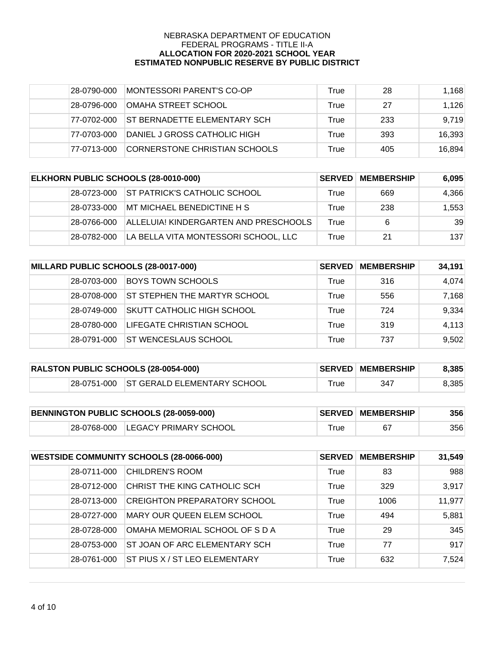| 28-0790-000 | MONTESSORI PARENT'S CO-OP     | True | 28  | 1,168  |
|-------------|-------------------------------|------|-----|--------|
| 28-0796-000 | IOMAHA STREET SCHOOL          | True | 27  | 1,126  |
| 77-0702-000 | IST BERNADETTE ELEMENTARY SCH | True | 233 | 9,719  |
| 77-0703-000 | DANIEL J GROSS CATHOLIC HIGH  | True | 393 | 16.393 |
| 77-0713-000 | CORNERSTONE CHRISTIAN SCHOOLS | True | 405 | 16,894 |

| ELKHORN PUBLIC SCHOOLS (28-0010-000) |             | <b>SERVED</b>                         | <b>MEMBERSHIP</b> | 6,095 |       |
|--------------------------------------|-------------|---------------------------------------|-------------------|-------|-------|
|                                      | 28-0723-000 | <b>ST PATRICK'S CATHOLIC SCHOOL</b>   | True              | 669   | 4,366 |
|                                      | 28-0733-000 | MT MICHAEL BENEDICTINE H S            | True              | 238   | 1,553 |
|                                      | 28-0766-000 | ALLELUIA! KINDERGARTEN AND PRESCHOOLS | True              | 6     | 39    |
|                                      | 28-0782-000 | LA BELLA VITA MONTESSORI SCHOOL, LLC  | True              | 21    | 137   |

| MILLARD PUBLIC SCHOOLS (28-0017-000) |             | <b>SERVED</b>                     | <b>MEMBERSHIP</b> | 34,191 |       |
|--------------------------------------|-------------|-----------------------------------|-------------------|--------|-------|
|                                      | 28-0703-000 | BOYS TOWN SCHOOLS                 | True              | 316    | 4,074 |
|                                      | 28-0708-000 | ST STEPHEN THE MARTYR SCHOOL      | True              | 556    | 7,168 |
|                                      | 28-0749-000 | <b>SKUTT CATHOLIC HIGH SCHOOL</b> | True              | 724    | 9,334 |
|                                      | 28-0780-000 | LIFEGATE CHRISTIAN SCHOOL         | True              | 319    | 4,113 |
|                                      | 28-0791-000 | IST WENCESLAUS SCHOOL             | True              | 737    | 9,502 |

| <b>RALSTON PUBLIC SCHOOLS (28-0054-000)</b> |  |                                         | <b>SERVED MEMBERSHIP</b> | 8,385 |       |
|---------------------------------------------|--|-----------------------------------------|--------------------------|-------|-------|
|                                             |  | 28-0751-000 ST GERALD ELEMENTARY SCHOOL | ™rue                     | 347   | 8,385 |

| BENNINGTON PUBLIC SCHOOLS (28-0059-000) |  | <b>SERVED MEMBERSHIP</b>          | 356 |      |
|-----------------------------------------|--|-----------------------------------|-----|------|
|                                         |  | 28-0768-000 LEGACY PRIMARY SCHOOL |     | 3561 |

| <b>WESTSIDE COMMUNITY SCHOOLS (28-0066-000)</b> |             | <b>SERVED</b>                       | <b>MEMBERSHIP</b> | 31,549 |        |
|-------------------------------------------------|-------------|-------------------------------------|-------------------|--------|--------|
|                                                 | 28-0711-000 | <b>CHILDREN'S ROOM</b>              | True              | 83     | 988    |
|                                                 | 28-0712-000 | CHRIST THE KING CATHOLIC SCH        | True              | 329    | 3,917  |
|                                                 | 28-0713-000 | <b>CREIGHTON PREPARATORY SCHOOL</b> | True              | 1006   | 11,977 |
|                                                 | 28-0727-000 | MARY OUR QUEEN ELEM SCHOOL          | True              | 494    | 5,881  |
|                                                 | 28-0728-000 | OMAHA MEMORIAL SCHOOL OF S D A      | True              | 29     | 345    |
|                                                 | 28-0753-000 | ST JOAN OF ARC ELEMENTARY SCH       | True              | 77     | 917    |
|                                                 | 28-0761-000 | ST PIUS X / ST LEO ELEMENTARY       | True              | 632    | 7,524  |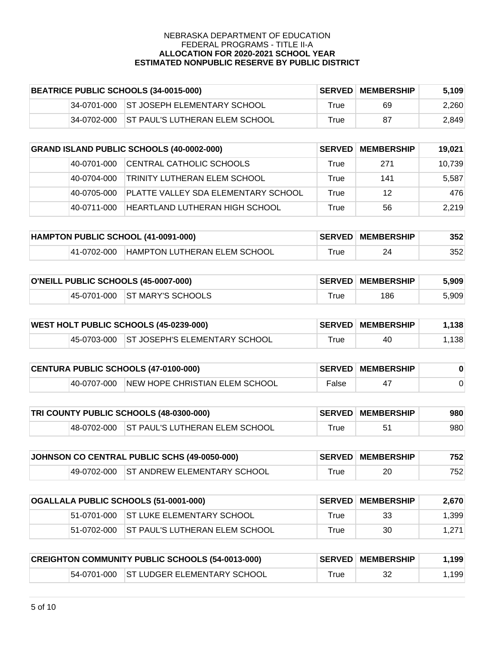| BEATRICE PUBLIC SCHOOLS (34-0015-000) |             | <b>SERVED</b>                           | <b>MEMBERSHIP</b> | 5,109 |       |
|---------------------------------------|-------------|-----------------------------------------|-------------------|-------|-------|
|                                       |             | 34-0701-000 ST JOSEPH ELEMENTARY SCHOOL | True              | 69    | 2,260 |
|                                       | 34-0702-000 | <b>IST PAUL'S LUTHERAN ELEM SCHOOL</b>  | True              | 87    | 2,849 |

| <b>GRAND ISLAND PUBLIC SCHOOLS (40-0002-000)</b> |             | <b>SERVED</b>                       | <b>MEMBERSHIP</b> | 19,021 |        |
|--------------------------------------------------|-------------|-------------------------------------|-------------------|--------|--------|
|                                                  | 40-0701-000 | CENTRAL CATHOLIC SCHOOLS            | True              | 271    | 10,739 |
|                                                  | 40-0704-000 | <b>TRINITY LUTHERAN ELEM SCHOOL</b> | True              | 141    | 5,587  |
|                                                  | 40-0705-000 | PLATTE VALLEY SDA ELEMENTARY SCHOOL | True              | 12     | 476    |
|                                                  | 40-0711-000 | HEARTLAND LUTHERAN HIGH SCHOOL      | True              | 56     | 2.219  |

| HAMPTON PUBLIC SCHOOL (41-0091-000) |             |                              | <b>SERVED MEMBERSHIP</b> | 352 |     |
|-------------------------------------|-------------|------------------------------|--------------------------|-----|-----|
|                                     | 41-0702-000 | HAMPTON LUTHERAN ELEM SCHOOL | ™rue                     | 24  | 352 |

| O'NEILL PUBLIC SCHOOLS (45-0007-000) |  |                               | <b>SERVED MEMBERSHIP</b> | 5.909 |       |
|--------------------------------------|--|-------------------------------|--------------------------|-------|-------|
|                                      |  | 45-0701-000 ST MARY'S SCHOOLS | $\tau$ rue               | 186   | 5,909 |

| <b>WEST HOLT PUBLIC SCHOOLS (45-0239-000)</b> |  |                                           | <b>∣SERVED∣MEMBERSHIP</b> | .138 |      |
|-----------------------------------------------|--|-------------------------------------------|---------------------------|------|------|
|                                               |  | 45-0703-000 ST JOSEPH'S ELEMENTARY SCHOOL | r <sub>rue</sub>          | 40   | ,138 |

| <b>CENTURA PUBLIC SCHOOLS (47-0100-000)</b> |             |                                | <b>SERVED MEMBERSHIP</b> |  |  |
|---------------------------------------------|-------------|--------------------------------|--------------------------|--|--|
|                                             | 40-0707-000 | NEW HOPE CHRISTIAN ELEM SCHOOL | False                    |  |  |

| TRI COUNTY PUBLIC SCHOOLS (48-0300-000) |  |                                            | <b>SERVED MEMBERSHIP</b> | 980 |     |
|-----------------------------------------|--|--------------------------------------------|--------------------------|-----|-----|
|                                         |  | 48-0702-000 ST PAUL'S LUTHERAN ELEM SCHOOL | $\tau$ rue               |     | 980 |

| JOHNSON CO CENTRAL PUBLIC SCHS (49-0050-000) |  |                                         | <b>SERVED MEMBERSHIP</b> | 752 |      |
|----------------------------------------------|--|-----------------------------------------|--------------------------|-----|------|
|                                              |  | 49-0702-000 ST ANDREW ELEMENTARY SCHOOL | ™rue                     | 20  | 7521 |

| OGALLALA PUBLIC SCHOOLS (51-0001-000) |  | <b>SERVED</b>                                | <b>MEMBERSHIP</b> | 2,670 |       |
|---------------------------------------|--|----------------------------------------------|-------------------|-------|-------|
|                                       |  | 51-0701-000 ST LUKE ELEMENTARY SCHOOL        | True              | 33    | 1.399 |
|                                       |  | 151-0702-000 IST PAUL'S LUTHERAN ELEM SCHOOL | True              | 30    | 1.271 |

| <b>CREIGHTON COMMUNITY PUBLIC SCHOOLS (54-0013-000)</b> |  |                                         | <b>SERVED MEMBERSHIP</b> | .199 |      |
|---------------------------------------------------------|--|-----------------------------------------|--------------------------|------|------|
|                                                         |  | 54-0701-000 ST LUDGER ELEMENTARY SCHOOL | $\tau$ rue               |      | .199 |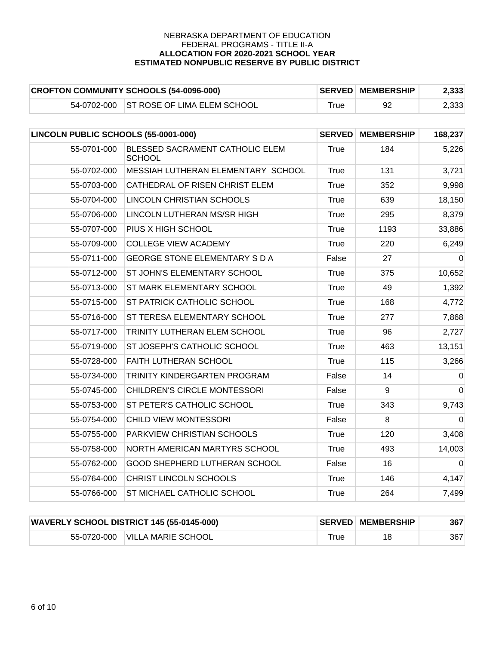| <b>CROFTON COMMUNITY SCHOOLS (54-0096-000)</b> |  |                                         | <b>SERVED MEMBERSHIP</b> | 2,333 |       |
|------------------------------------------------|--|-----------------------------------------|--------------------------|-------|-------|
|                                                |  | 54-0702-000 ST ROSE OF LIMA ELEM SCHOOL | $\tau$ rue               |       | 2,333 |

| LINCOLN PUBLIC SCHOOLS (55-0001-000) |                                                  | <b>SERVED</b> | <b>MEMBERSHIP</b> | 168,237        |
|--------------------------------------|--------------------------------------------------|---------------|-------------------|----------------|
| 55-0701-000                          | BLESSED SACRAMENT CATHOLIC ELEM<br><b>SCHOOL</b> | True          | 184               | 5,226          |
| 55-0702-000                          | MESSIAH LUTHERAN ELEMENTARY SCHOOL               | True          | 131               | 3,721          |
| 55-0703-000                          | CATHEDRAL OF RISEN CHRIST ELEM                   | True          | 352               | 9,998          |
| 55-0704-000                          | LINCOLN CHRISTIAN SCHOOLS                        | True          | 639               | 18,150         |
| 55-0706-000                          | LINCOLN LUTHERAN MS/SR HIGH                      | True          | 295               | 8,379          |
| 55-0707-000                          | PIUS X HIGH SCHOOL                               | True          | 1193              | 33,886         |
| 55-0709-000                          | <b>COLLEGE VIEW ACADEMY</b>                      | True          | 220               | 6,249          |
| 55-0711-000                          | <b>GEORGE STONE ELEMENTARY S D A</b>             | False         | 27                | $\Omega$       |
| 55-0712-000                          | ST JOHN'S ELEMENTARY SCHOOL                      | True          | 375               | 10,652         |
| 55-0713-000                          | ST MARK ELEMENTARY SCHOOL                        | True          | 49                | 1,392          |
| 55-0715-000                          | ST PATRICK CATHOLIC SCHOOL                       | True          | 168               | 4,772          |
| 55-0716-000                          | ST TERESA ELEMENTARY SCHOOL                      | <b>True</b>   | 277               | 7,868          |
| 55-0717-000                          | TRINITY LUTHERAN ELEM SCHOOL                     | True          | 96                | 2,727          |
| 55-0719-000                          | ST JOSEPH'S CATHOLIC SCHOOL                      | <b>True</b>   | 463               | 13,151         |
| 55-0728-000                          | FAITH LUTHERAN SCHOOL                            | True          | 115               | 3,266          |
| 55-0734-000                          | TRINITY KINDERGARTEN PROGRAM                     | False         | 14                | $\Omega$       |
| 55-0745-000                          | CHILDREN'S CIRCLE MONTESSORI                     | False         | $\boldsymbol{9}$  | $\overline{0}$ |
| 55-0753-000                          | ST PETER'S CATHOLIC SCHOOL                       | <b>True</b>   | 343               | 9,743          |
| 55-0754-000                          | CHILD VIEW MONTESSORI                            | False         | 8                 | $\overline{0}$ |
| 55-0755-000                          | PARKVIEW CHRISTIAN SCHOOLS                       | True          | 120               | 3,408          |
| 55-0758-000                          | NORTH AMERICAN MARTYRS SCHOOL                    | True          | 493               | 14,003         |
| 55-0762-000                          | GOOD SHEPHERD LUTHERAN SCHOOL                    | False         | 16                | 0              |
| 55-0764-000                          | CHRIST LINCOLN SCHOOLS                           | True          | 146               | 4,147          |
| 55-0766-000                          | ST MICHAEL CATHOLIC SCHOOL                       | <b>True</b>   | 264               | 7,499          |

|  | <b>WAVERLY SCHOOL DISTRICT 145 (55-0145-000)</b> |      | <b>SERVED MEMBERSHIP</b> | 367 |
|--|--------------------------------------------------|------|--------------------------|-----|
|  | 55-0720-000 VILLA MARIE SCHOOL                   | ⊤rue | 18                       | 367 |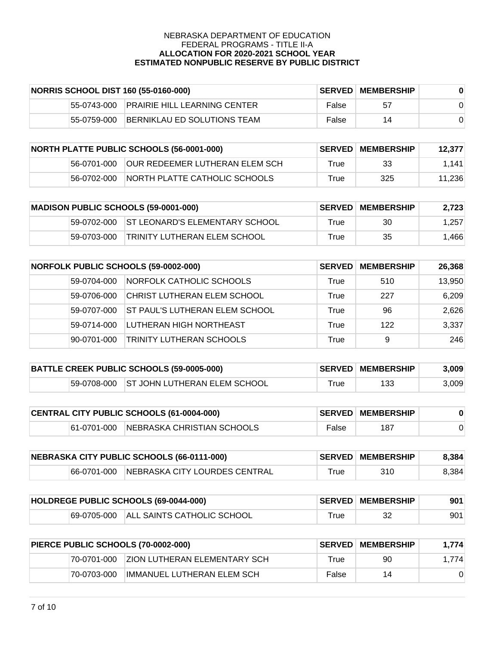|             | NORRIS SCHOOL DIST 160 (55-0160-000) | <b>SERVED</b> | <b>MEMBERSHIP</b> |  |
|-------------|--------------------------------------|---------------|-------------------|--|
| 55-0743-000 | <b>PRAIRIE HILL LEARNING CENTER</b>  | False         | 57                |  |
| 55-0759-000 | IBERNIKLAU ED SOLUTIONS TEAM         | False         | 14                |  |

|             | <b>NORTH PLATTE PUBLIC SCHOOLS (56-0001-000)</b> |      | <b>SERVED MEMBERSHIP</b> | 12,377 |
|-------------|--------------------------------------------------|------|--------------------------|--------|
| 56-0701-000 | <b>OUR REDEEMER LUTHERAN ELEM SCH</b>            | True | 33                       | 1.141  |
| 56-0702-000 | INORTH PLATTE CATHOLIC SCHOOLS                   | True | 325                      | 11,236 |

| <b>MADISON PUBLIC SCHOOLS (59-0001-000)</b> |             |                                 | <b>SERVED MEMBERSHIP</b> | 2,723 |       |
|---------------------------------------------|-------------|---------------------------------|--------------------------|-------|-------|
|                                             | 59-0702-000 | IST LEONARD'S ELEMENTARY SCHOOL | ⊤rue                     | 30    | 1.257 |
|                                             | 59-0703-000 | TRINITY LUTHERAN ELEM SCHOOL    | True                     | 35    | 1.466 |

| <b>NORFOLK PUBLIC SCHOOLS (59-0002-000)</b> |             | <b>SERVED</b>                         | <b>MEMBERSHIP</b> | 26,368 |        |
|---------------------------------------------|-------------|---------------------------------------|-------------------|--------|--------|
|                                             | 59-0704-000 | NORFOLK CATHOLIC SCHOOLS              | True              | 510    | 13,950 |
|                                             | 59-0706-000 | CHRIST LUTHERAN ELEM SCHOOL           | True              | 227    | 6,209  |
|                                             | 59-0707-000 | <b>ST PAUL'S LUTHERAN ELEM SCHOOL</b> | True              | 96     | 2,626  |
|                                             | 59-0714-000 | LUTHERAN HIGH NORTHEAST               | True              | 122    | 3,337  |
|                                             | 90-0701-000 | <b>TRINITY LUTHERAN SCHOOLS</b>       | True              | 9      | 246    |

| BATTLE CREEK PUBLIC SCHOOLS (59-0005-000) |  |                                          | <b>SERVED MEMBERSHIP</b> | 3.009 |       |
|-------------------------------------------|--|------------------------------------------|--------------------------|-------|-------|
|                                           |  | 59-0708-000 ST JOHN LUTHERAN ELEM SCHOOL | True                     | 133   | 3,009 |

| CENTRAL CITY PUBLIC SCHOOLS (61-0004-000) |  |                                        | <b>SERVED MEMBERSHIP</b> |     |  |
|-------------------------------------------|--|----------------------------------------|--------------------------|-----|--|
|                                           |  | 61-0701-000 NEBRASKA CHRISTIAN SCHOOLS | False                    | 187 |  |

| NEBRASKA CITY PUBLIC SCHOOLS (66-0111-000) |  |                                           | <b>SERVED MEMBERSHIP</b> | 8.384 |       |
|--------------------------------------------|--|-------------------------------------------|--------------------------|-------|-------|
|                                            |  | 66-0701-000 NEBRASKA CITY LOURDES CENTRAL | $\tau$ rue               | 310   | 8,384 |

| HOLDREGE PUBLIC SCHOOLS (69-0044-000) |  |                                        | <b>SERVED MEMBERSHIP</b> | 901 |     |
|---------------------------------------|--|----------------------------------------|--------------------------|-----|-----|
|                                       |  | 69-0705-000 ALL SAINTS CATHOLIC SCHOOL | ™rue                     | 32  | 901 |

| PIERCE PUBLIC SCHOOLS (70-0002-000) |             |                               | <b>SERVED MEMBERSHIP</b> | 1.774 |       |
|-------------------------------------|-------------|-------------------------------|--------------------------|-------|-------|
|                                     | 70-0701-000 | IZION LUTHERAN ELEMENTARY SCH | True                     | 90    | 1.774 |
|                                     | 70-0703-000 | IIMMANUEL LUTHERAN ELEM SCH   | False                    | 14    |       |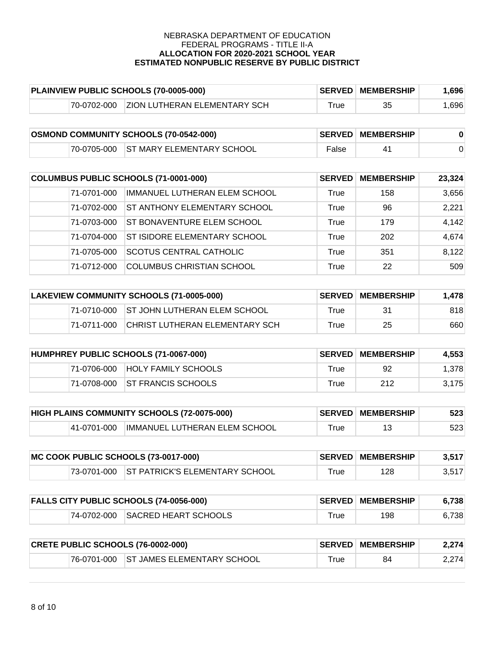| PLAINVIEW PUBLIC SCHOOLS (70-0005-000) |             |                                     | <b>SERVED MEMBERSHIP</b> | .696 |      |
|----------------------------------------|-------------|-------------------------------------|--------------------------|------|------|
|                                        | 70-0702-000 | <b>ZION LUTHERAN ELEMENTARY SCH</b> | $\tau$ rue               | 35   | .696 |

| <b>OSMOND COMMUNITY SCHOOLS (70-0542-000)</b> |  |                                       | <b>SERVED MEMBERSHIP</b> |  |  |
|-----------------------------------------------|--|---------------------------------------|--------------------------|--|--|
|                                               |  | 70-0705-000 ST MARY ELEMENTARY SCHOOL | False                    |  |  |

| COLUMBUS PUBLIC SCHOOLS (71-0001-000) |             | <b>SERVED</b>                       | <b>MEMBERSHIP</b> | 23,324 |       |
|---------------------------------------|-------------|-------------------------------------|-------------------|--------|-------|
|                                       | 71-0701-000 | IMMANUEL LUTHERAN ELEM SCHOOL       | True              | 158    | 3,656 |
|                                       | 71-0702-000 | <b>ST ANTHONY ELEMENTARY SCHOOL</b> | True              | 96     | 2,221 |
|                                       | 71-0703-000 | ST BONAVENTURE ELEM SCHOOL          | True              | 179    | 4,142 |
|                                       | 71-0704-000 | <b>ST ISIDORE ELEMENTARY SCHOOL</b> | True              | 202    | 4,674 |
|                                       | 71-0705-000 | <b>SCOTUS CENTRAL CATHOLIC</b>      | True              | 351    | 8,122 |
|                                       | 71-0712-000 | <b>COLUMBUS CHRISTIAN SCHOOL</b>    | True              | 22     | 509   |

| LAKEVIEW COMMUNITY SCHOOLS (71-0005-000) |             |                                          | <b>SERVED MEMBERSHIP</b> | 1.478 |     |
|------------------------------------------|-------------|------------------------------------------|--------------------------|-------|-----|
|                                          |             | 71-0710-000 ST JOHN LUTHERAN ELEM SCHOOL | True                     | 31    | 818 |
|                                          | 71-0711-000 | CHRIST LUTHERAN ELEMENTARY SCH           | True                     | 25    | 660 |

| HUMPHREY PUBLIC SCHOOLS (71-0067-000) |             |                                | <b>SERVED MEMBERSHIP</b> | 4,553 |       |
|---------------------------------------|-------------|--------------------------------|--------------------------|-------|-------|
|                                       | 71-0706-000 | HOLY FAMILY SCHOOLS            | True                     | 92    | 1,378 |
|                                       |             | 71-0708-000 ST FRANCIS SCHOOLS | True                     | 212   | 3,175 |

| <b>HIGH PLAINS COMMUNITY SCHOOLS (72-0075-000)</b> |             |                               | <b>SERVED MEMBERSHIP</b> | 523 |     |
|----------------------------------------------------|-------------|-------------------------------|--------------------------|-----|-----|
|                                                    | 41-0701-000 | IMMANUEL LUTHERAN ELEM SCHOOL | ⊺rue                     |     | 523 |

| MC COOK PUBLIC SCHOOLS (73-0017-000) |  |                                            | <b>SERVED MEMBERSHIP</b> | 3,517 |       |
|--------------------------------------|--|--------------------------------------------|--------------------------|-------|-------|
|                                      |  | 73-0701-000 ST PATRICK'S ELEMENTARY SCHOOL | $\tau$ rue               | 128   | 3,517 |

| <b>FALLS CITY PUBLIC SCHOOLS (74-0056-000)</b> |  |                                  | <b>SERVED MEMBERSHIP</b>    | 6.738 |       |
|------------------------------------------------|--|----------------------------------|-----------------------------|-------|-------|
|                                                |  | 74-0702-000 SACRED HEART SCHOOLS | $\mathsf{r}_{\mathsf{rue}}$ | 198   | 6.738 |

| <b>CRETE PUBLIC SCHOOLS (76-0002-000)</b> |  |                                        | <b>SERVED MEMBERSHIP</b> | 2.274 |       |
|-------------------------------------------|--|----------------------------------------|--------------------------|-------|-------|
|                                           |  | 76-0701-000 ST JAMES ELEMENTARY SCHOOL | $\tau$ rue               | 84    | 2.274 |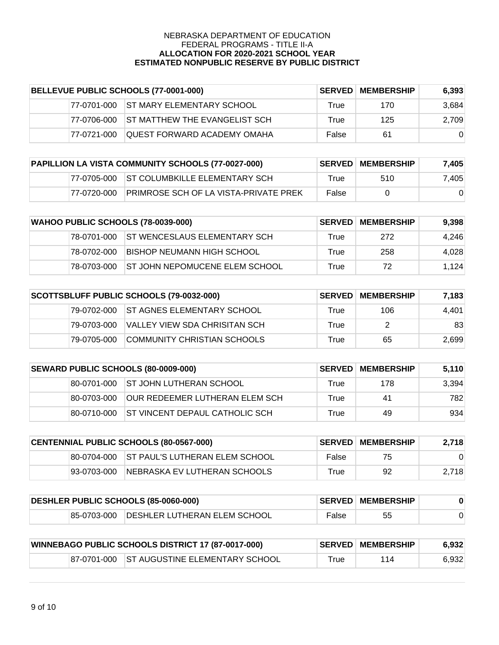| BELLEVUE PUBLIC SCHOOLS (77-0001-000) |             |                                    | <b>SERVED MEMBERSHIP</b> | 6.393 |          |
|---------------------------------------|-------------|------------------------------------|--------------------------|-------|----------|
|                                       | 77-0701-000 | <b>IST MARY ELEMENTARY SCHOOL</b>  | True                     | 170   | 3.684    |
|                                       | 77-0706-000 | IST MATTHEW THE EVANGELIST SCH     | True                     | 125   | 2,709    |
|                                       | 77-0721-000 | <b>OUEST FORWARD ACADEMY OMAHA</b> | False                    | 61    | $\Omega$ |

| PAPILLION LA VISTA COMMUNITY SCHOOLS (77-0027-000) |             |                                           | <b>SERVED MEMBERSHIP</b> | 7.405    |       |
|----------------------------------------------------|-------------|-------------------------------------------|--------------------------|----------|-------|
|                                                    |             | 77-0705-000 ST COLUMBKILLE ELEMENTARY SCH | True                     | 510      | 7.405 |
|                                                    | 77-0720-000 | IPRIMROSE SCH OF LA VISTA-PRIVATE PREK    | False                    | $\Omega$ |       |

|             | <b>WAHOO PUBLIC SCHOOLS (78-0039-000)</b> |      | <b>SERVED MEMBERSHIP</b> | 9,398 |
|-------------|-------------------------------------------|------|--------------------------|-------|
| 78-0701-000 | <b>IST WENCESLAUS ELEMENTARY SCH</b>      | True | 272                      | 4,246 |
| 78-0702-000 | IBISHOP NEUMANN HIGH SCHOOL               | True | 258                      | 4,028 |
| 78-0703-000 | <b>IST JOHN NEPOMUCENE ELEM SCHOOL</b>    | True | 72                       | 1,124 |

|              | SCOTTSBLUFF PUBLIC SCHOOLS (79-0032-000) |      | <b>SERVED MEMBERSHIP</b> | 7,183 |
|--------------|------------------------------------------|------|--------------------------|-------|
|              | 79-0702-000 IST AGNES ELEMENTARY SCHOOL  | True | 106                      | 4.401 |
| 79-0703-000  | VALLEY VIEW SDA CHRISITAN SCH            | True |                          | 83    |
| 179-0705-000 | COMMUNITY CHRISTIAN SCHOOLS              | True | 65                       | 2,699 |

|              | SEWARD PUBLIC SCHOOLS (80-0009-000)    | <b>SERVED</b> | <b>MEMBERSHIP</b> | 5,110 |
|--------------|----------------------------------------|---------------|-------------------|-------|
|              | 80-0701-000 ST JOHN LUTHERAN SCHOOL    | True          | 178               | 3.394 |
| 80-0703-000  | IOUR REDEEMER LUTHERAN ELEM SCH        | True          | 41                | 782   |
| 180-0710-000 | <b>IST VINCENT DEPAUL CATHOLIC SCH</b> | True          | 49                | 934   |

|             | <b>CENTENNIAL PUBLIC SCHOOLS (80-0567-000)</b> | <b>SERVED</b> | <b>MEMBERSHIP</b> | 2,718 |
|-------------|------------------------------------------------|---------------|-------------------|-------|
|             | 180-0704-000 IST PAUL'S LUTHERAN ELEM SCHOOL   | False         | 75                |       |
| 93-0703-000 | INEBRASKA EV LUTHERAN SCHOOLS                  | True          | 92                | 2,718 |

| DESHLER PUBLIC SCHOOLS (85-0060-000) |                                          |       | <b>SERVED MEMBERSHIP</b> |  |
|--------------------------------------|------------------------------------------|-------|--------------------------|--|
|                                      | 85-0703-000 DESHLER LUTHERAN ELEM SCHOOL | False | 55                       |  |

|  | <b>WINNEBAGO PUBLIC SCHOOLS DISTRICT 17 (87-0017-000)</b> |            | <b>SERVED MEMBERSHIP</b> | 6.932 |
|--|-----------------------------------------------------------|------------|--------------------------|-------|
|  | 87-0701-000 ST AUGUSTINE ELEMENTARY SCHOOL                | $\tau$ rue | 114                      | 6,932 |